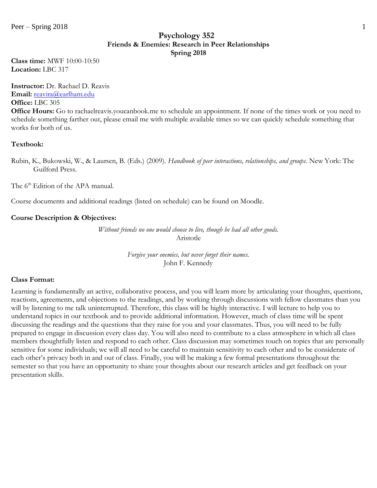### **Psychology 352 Friends & Enemies: Research in Peer Relationships Spring 2018**

**Class time:** MWF 10:00-10:50 **Location:** LBC 317

**Instructor:** Dr. Rachael D. Reavis **Email:** [reavira@earlham.edu](mailto:rdreavis@uncg.edu) **Office:** LBC 305

**Office Hours:** Go to rachaelreavis.youcanbook.me to schedule an appointment. If none of the times work or you need to schedule something farther out, please email me with multiple available times so we can quickly schedule something that works for both of us.

### **Textbook:**

Rubin, K., Bukowski, W., & Laursen, B. (Eds.) (2009). *Handbook of peer interactions, relationships, and groups.* New York: The Guilford Press.

The 6<sup>th</sup> Edition of the APA manual.

Course documents and additional readings (listed on schedule) can be found on Moodle.

#### **Course Description & Objectives:**

*Without friends no one would choose to live, though he had all other goods.* Aristotle

> *Forgive your enemies, but never forget their names.* John F. Kennedy

#### **Class Format:**

Learning is fundamentally an active, collaborative process, and you will learn more by articulating your thoughts, questions, reactions, agreements, and objections to the readings, and by working through discussions with fellow classmates than you will by listening to me talk uninterrupted. Therefore, this class will be highly interactive. I will lecture to help you to understand topics in our textbook and to provide additional information. However, much of class time will be spent discussing the readings and the questions that they raise for you and your classmates. Thus, you will need to be fully prepared to engage in discussion every class day. You will also need to contribute to a class atmosphere in which all class members thoughtfully listen and respond to each other. Class discussion may sometimes touch on topics that are personally sensitive for some individuals; we will all need to be careful to maintain sensitivity to each other and to be considerate of each other's privacy both in and out of class. Finally, you will be making a few formal presentations throughout the semester so that you have an opportunity to share your thoughts about our research articles and get feedback on your presentation skills.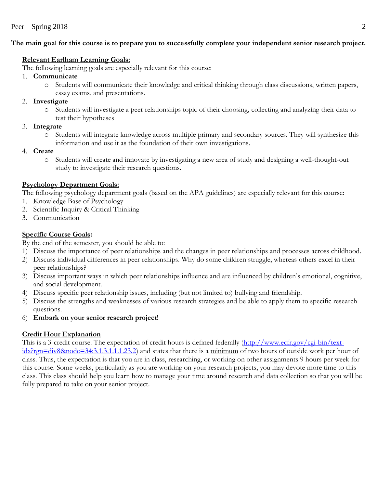# **The main goal for this course is to prepare you to successfully complete your independent senior research project.**

# **Relevant Earlham Learning Goals:**

The following learning goals are especially relevant for this course:

- 1. **Communicate**
	- o Students will communicate their knowledge and critical thinking through class discussions, written papers, essay exams, and presentations.

# 2. **Investigate**

- o Students will investigate a peer relationships topic of their choosing, collecting and analyzing their data to test their hypotheses
- 3. **Integrate**
	- Students will integrate knowledge across multiple primary and secondary sources. They will synthesize this information and use it as the foundation of their own investigations.
- 4. **Create**
	- o Students will create and innovate by investigating a new area of study and designing a well-thought-out study to investigate their research questions.

# **Psychology Department Goals:**

The following psychology department goals (based on the APA guidelines) are especially relevant for this course:

- 1. Knowledge Base of Psychology
- 2. Scientific Inquiry & Critical Thinking
- 3. Communication

# **Specific Course Goals:**

- By the end of the semester, you should be able to:
- 1) Discuss the importance of peer relationships and the changes in peer relationships and processes across childhood.
- 2) Discuss individual differences in peer relationships. Why do some children struggle, whereas others excel in their peer relationships?
- 3) Discuss important ways in which peer relationships influence and are influenced by children's emotional, cognitive, and social development.
- 4) Discuss specific peer relationship issues, including (but not limited to) bullying and friendship.
- 5) Discuss the strengths and weaknesses of various research strategies and be able to apply them to specific research questions.
- 6) **Embark on your senior research project!**

# **Credit Hour Explanation**

This is a 3-credit course. The expectation of credit hours is defined federally [\(http://www.ecfr.gov/cgi-bin/text](http://www.ecfr.gov/cgi-bin/text-idx?rgn=div8&node=34:3.1.3.1.1.1.23.2)[idx?rgn=div8&node=34:3.1.3.1.1.1.23.2\)](http://www.ecfr.gov/cgi-bin/text-idx?rgn=div8&node=34:3.1.3.1.1.1.23.2) and states that there is a minimum of two hours of outside work per hour of class. Thus, the expectation is that you are in class, researching, or working on other assignments 9 hours per week for this course. Some weeks, particularly as you are working on your research projects, you may devote more time to this class. This class should help you learn how to manage your time around research and data collection so that you will be fully prepared to take on your senior project.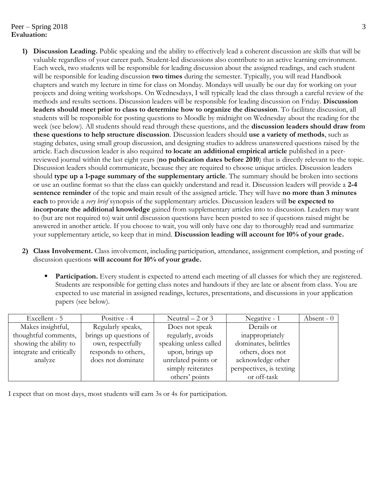## $Peer - Spring 2018$  3 **Evaluation:**

- **1) Discussion Leading.** Public speaking and the ability to effectively lead a coherent discussion are skills that will be valuable regardless of your career path. Student-led discussions also contribute to an active learning environment. Each week, two students will be responsible for leading discussion about the assigned readings, and each student will be responsible for leading discussion **two times** during the semester. Typically, you will read Handbook chapters and watch my lecture in time for class on Monday. Mondays will usually be our day for working on your projects and doing writing workshops. On Wednesdays, I will typically lead the class through a careful review of the methods and results sections. Discussion leaders will be responsible for leading discussion on Friday. **Discussion leaders should meet prior to class to determine how to organize the discussion**. To facilitate discussion, all students will be responsible for posting questions to Moodle by midnight on Wednesday about the reading for the week (see below). All students should read through these questions, and the **discussion leaders should draw from these questions to help structure discussion**. Discussion leaders should **use a variety of methods**, such as staging debates, using small group discussion, and designing studies to address unanswered questions raised by the article. Each discussion leader is also required **to locate an additional empirical article** published in a peerreviewed journal within the last eight years (**no publication dates before 2010**) that is directly relevant to the topic. Discussion leaders should communicate, because they are required to choose unique articles. Discussion leaders should **type up a 1-page summary of the supplementary article**. The summary should be broken into sections or use an outline format so that the class can quickly understand and read it. Discussion leaders will provide a **2-4 sentence reminder** of the topic and main result of the assigned article. They will have **no more than 3 minutes each** to provide a *very brief* synopsis of the supplementary articles. Discussion leaders will **be expected to incorporate the additional knowledge** gained from supplementary articles into to discussion. Leaders may want to (but are not required to) wait until discussion questions have been posted to see if questions raised might be answered in another article. If you choose to wait, you will only have one day to thoroughly read and summarize your supplementary article, so keep that in mind. **Discussion leading will account for 10% of your grade.**
- **2) Class Involvement.** Class involvement, including participation, attendance, assignment completion, and posting of discussion questions **will account for 10% of your grade.**
	- **Participation.** Every student is expected to attend each meeting of all classes for which they are registered. Students are responsible for getting class notes and handouts if they are late or absent from class. You are expected to use material in assigned readings, lectures, presentations, and discussions in your application papers (see below).

| Excellent - 5            | Positive - 4           | Neutral $-2$ or 3      | Negative - 1             | Absent $-0$ |
|--------------------------|------------------------|------------------------|--------------------------|-------------|
| Makes insightful,        | Regularly speaks,      | Does not speak         | Derails or               |             |
| thoughtful comments,     | brings up questions of | regularly, avoids      | inappropriately          |             |
| showing the ability to   | own, respectfully      | speaking unless called | dominates, belittles     |             |
| integrate and critically | responds to others,    | upon, brings up        | others, does not         |             |
| analyze                  | does not dominate      | unrelated points or    | acknowledge other        |             |
|                          |                        | simply reiterates      | perspectives, is texting |             |
|                          |                        | others' points         | or off-task              |             |

I expect that on most days, most students will earn 3s or 4s for participation.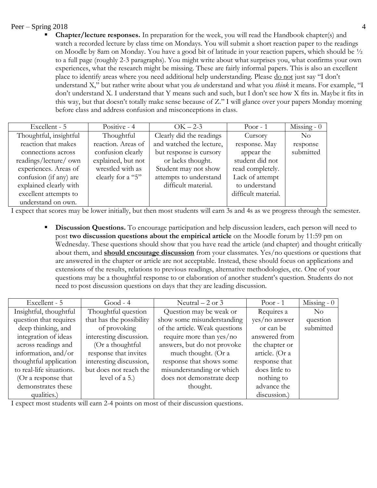## Peer – Spring 2018 4

**Chapter/lecture responses.** In preparation for the week, you will read the Handbook chapter(s) and watch a recorded lecture by class time on Mondays. You will submit a short reaction paper to the readings on Moodle by 8am on Monday. You have a good bit of latitude in your reaction papers, which should be ½ to a full page (roughly 2-3 paragraphs). You might write about what surprises you, what confirms your own experiences, what the research might be missing. These are fairly informal papers. This is also an excellent place to identify areas where you need additional help understanding. Please <u>do not</u> just say "I don't understand X," but rather write about what you *do* understand and what you *think* it means. For example, "I don't understand X. I understand that Y means such and such, but I don't see how X fits in. Maybe it fits in this way, but that doesn't totally make sense because of Z." I will glance over your papers Monday morning before class and address confusion and misconceptions in class.

| Excellent - 5          | Positive - 4       | $OK-2-3$                 | Poor - $1$          | Missing $-0$ |
|------------------------|--------------------|--------------------------|---------------------|--------------|
| Thoughtful, insightful | Thoughtful         | Clearly did the readings | Cursory             | $\rm No$     |
| reaction that makes    | reaction. Areas of | and watched the lecture, | response. May       | response     |
| connections across     | confusion clearly  | but response is cursory  | appear the          | submitted    |
| readings/lecture/ own  | explained, but not | or lacks thought.        | student did not     |              |
| experiences. Areas of  | wrestled with as   | Student may not show     | read completely.    |              |
| confusion (if any) are | clearly for a "5"  | attempts to understand   | Lack of attempt     |              |
| explained clearly with |                    | difficult material.      | to understand       |              |
| excellent attempts to  |                    |                          | difficult material. |              |
| understand on own.     |                    |                          |                     |              |

I expect that scores may be lower initially, but then most students will earn 3s and 4s as we progress through the semester.

**Discussion Questions.** To encourage participation and help discussion leaders, each person will need to post **two discussion questions about the empirical article** on the Moodle forum by 11:59 pm on Wednesday. These questions should show that you have read the article (and chapter) and thought critically about them, and **should encourage discussion** from your classmates. Yes/no questions or questions that are answered in the chapter or article are not acceptable. Instead, these should focus on applications and extensions of the results, relations to previous readings, alternative methodologies, etc. One of your questions may be a thoughtful response to or elaboration of another student's question. Students do not need to post discussion questions on days that they are leading discussion.

| Excellent - 5            | $Good - 4$               | Neutral $-2$ or 3              | Poor - $1$     | Missing - $0$ |
|--------------------------|--------------------------|--------------------------------|----------------|---------------|
| Insightful, thoughtful   | Thoughtful question      | Question may be weak or        | Requires a     | $\rm No$      |
| question that requires   | that has the possibility | show some misunderstanding     | yes/no answer  | question      |
| deep thinking, and       | of provoking             | of the article. Weak questions | or can be      | submitted     |
| integration of ideas     | interesting discussion.  | require more than $yes/no$     | answered from  |               |
| across readings and      | (Or a thoughtful         | answers, but do not provoke    | the chapter or |               |
| information, and/or      | response that invites    | much thought. (Or a            | article. (Or a |               |
| thoughtful application   | interesting discussion,  | response that shows some       | response that  |               |
| to real-life situations. | but does not reach the   | misunderstanding or which      | does little to |               |
| (Or a response that      | level of $a$ 5.)         | does not demonstrate deep      | nothing to     |               |
| demonstrates these       |                          | thought.                       | advance the    |               |
| qualities.)              |                          |                                | discussion.)   |               |

I expect most students will earn 2-4 points on most of their discussion questions.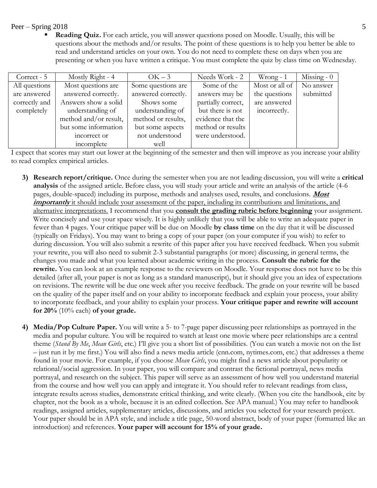### $Peer - Spring 2018$  5

**Reading Quiz.** For each article, you will answer questions posed on Moodle. Usually, this will be questions about the methods and/or results. The point of these questions is to help you better be able to read and understand articles on your own. You do not need to complete these on days when you are presenting or when you have written a critique. You must complete the quiz by class time on Wednesday.

| Correct - 5   | Mostly Right - 4      | $OK-3$              | Needs Work - 2     | Wrong - $1$    | Missing $-0$ |
|---------------|-----------------------|---------------------|--------------------|----------------|--------------|
| All questions | Most questions are    | Some questions are  | Some of the        | Most or all of | No answer    |
| are answered  | answered correctly.   | answered correctly. | answers may be     | the questions  | submitted    |
| correctly and | Answers show a solid  | Shows some          | partially correct, | are answered   |              |
| completely    | understanding of      | understanding of    | but there is not   | incorrectly.   |              |
|               | method and/or result, | method or results,  | evidence that the  |                |              |
|               | but some information  | but some aspects    | method or results  |                |              |
|               | incorrect or          | not understood      | were understood.   |                |              |
|               | incomplete            | well                |                    |                |              |

I expect that scores may start out lower at the beginning of the semester and then will improve as you increase your ability to read complex empirical articles.

- **3) Research report/critique.** Once during the semester when you are not leading discussion, you will write a **critical analysis** of the assigned article. Before class, you will study your article and write an analysis of the article (4-6 pages, double-spaced) including its purpose, methods and analyses used, results, and conclusions. **Most**  *importantly* it should include your assessment of the paper, including its contributions and limitations, and alternative interpretations. I recommend that you **consult the grading rubric before beginning** your assignment. Write concisely and use your space wisely. It is highly unlikely that you will be able to write an adequate paper in fewer than 4 pages. Your critique paper will be due on Moodle **by class time** on the day that it will be discussed (typically on Fridays). You may want to bring a copy of your paper (on your computer if you wish) to refer to during discussion. You will also submit a rewrite of this paper after you have received feedback. When you submit your rewrite, you will also need to submit 2-3 substantial paragraphs (or more) discussing, in general terms, the changes you made and what you learned about academic writing in the process. **Consult the rubric for the rewrite.** You can look at an example response to the reviewers on Moodle. Your response does not have to be this detailed (after all, your paper is not as long as a standard manuscript), but it should give you an idea of expectations on revisions. The rewrite will be due one week after you receive feedback. The grade on your rewrite will be based on the quality of the paper itself and on your ability to incorporate feedback and explain your process, your ability to incorporate feedback, and your ability to explain your process. **Your critique paper and rewrite will account for 20%** (10% each) **of your grade.**
- **4) Media/Pop Culture Paper.** You will write a 5- to 7-page paper discussing peer relationships as portrayed in the media and popular culture. You will be required to watch at least one movie where peer relationships are a central theme (*Stand By Me*, *Mean Girls*, etc.) I'll give you a short list of possibilities. (You can watch a movie not on the list – just run it by me first.) You will also find a news media article (cnn.com, nytimes.com, etc.) that addresses a theme found in your movie. For example, if you choose *Mean Girls*, you might find a news article about popularity or relational/social aggression. In your paper, you will compare and contrast the fictional portrayal, news media portrayal, and research on the subject. This paper will serve as an assessment of how well you understand material from the course and how well you can apply and integrate it. You should refer to relevant readings from class, integrate results across studies, demonstrate critical thinking, and write clearly. (When you cite the handbook, cite by chapter, not the book as a whole, because it is an edited collection. See APA manual.) You may refer to handbook readings, assigned articles, supplementary articles, discussions, and articles you selected for your research project. Your paper should be in APA style, and include a title page, 50-word abstract, body of your paper (formatted like an introduction) and references. **Your paper will account for 15% of your grade.**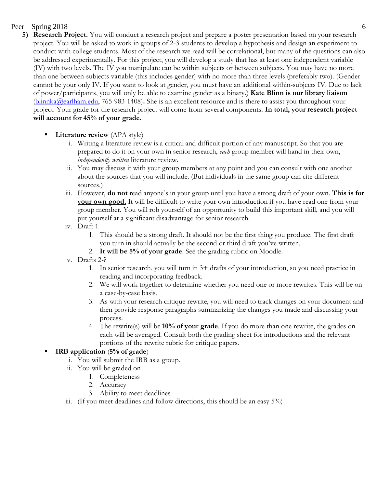# Peer – Spring 2018 6

- **5) Research Project.** You will conduct a research project and prepare a poster presentation based on your research project. You will be asked to work in groups of 2-3 students to develop a hypothesis and design an experiment to conduct with college students. Most of the research we read will be correlational, but many of the questions can also be addressed experimentally. For this project, you will develop a study that has at least one independent variable (IV) with two levels. The IV you manipulate can be within subjects or between subjects. You may have no more than one between-subjects variable (this includes gender) with no more than three levels (preferably two). (Gender cannot be your only IV. If you want to look at gender, you must have an additional within-subjects IV. Due to lack of power/participants, you will only be able to examine gender as a binary.) **Kate Blinn is our library liaison** [\(blinnka@earlham.edu,](mailto:blinnka@earlham.edu) 765-983-1408)**.** She is an excellent resource and is there to assist you throughout your project. Your grade for the research project will come from several components. **In total, your research project will account for 45% of your grade.**
	- **Literature review** (APA style)
		- i. Writing a literature review is a critical and difficult portion of any manuscript. So that you are prepared to do it on your own in senior research, *each* group member will hand in their own, *independently written* literature review.
		- ii. You may discuss it with your group members at any point and you can consult with one another about the sources that you will include. (But individuals in the same group can cite different sources.)
		- iii. However, **do not** read anyone's in your group until you have a strong draft of your own. **This is for your own good.** It will be difficult to write your own introduction if you have read one from your group member. You will rob yourself of an opportunity to build this important skill, and you will put yourself at a significant disadvantage for senior research.
		- iv. Draft 1
			- 1. This should be a strong draft. It should not be the first thing you produce. The first draft you turn in should actually be the second or third draft you've written.
			- 2. **It will be 5% of your grade**. See the grading rubric on Moodle.
		- v. Drafts 2-?
			- 1. In senior research, you will turn in 3+ drafts of your introduction, so you need practice in reading and incorporating feedback.
			- 2. We will work together to determine whether you need one or more rewrites. This will be on a case-by-case basis.
			- 3. As with your research critique rewrite, you will need to track changes on your document and then provide response paragraphs summarizing the changes you made and discussing your process.
			- 4. The rewrite(s) will be **10% of your grade**. If you do more than one rewrite, the grades on each will be averaged. Consult both the grading sheet for introductions and the relevant portions of the rewrite rubric for critique papers.

# **IRB** application (5% of grade)

- i. You will submit the IRB as a group.
- ii. You will be graded on
	- 1. Completeness
	- 2. Accuracy
	- 3. Ability to meet deadlines
- iii. (If you meet deadlines and follow directions, this should be an easy 5%)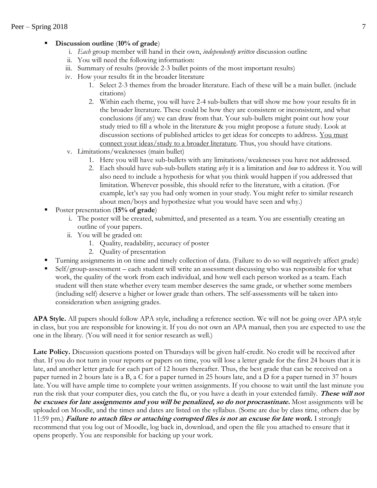# Discussion outline (10% of grade)

- i. *Each* group member will hand in their own, *independently written* discussion outline
- ii. You will need the following information:
- iii. Summary of results (provide 2-3 bullet points of the most important results)
- iv. How your results fit in the broader literature
	- 1. Select 2-3 themes from the broader literature. Each of these will be a main bullet. (include citations)
	- 2. Within each theme, you will have 2-4 sub-bullets that will show me how your results fit in the broader literature. These could be how they are consistent or inconsistent, and what conclusions (if any) we can draw from that. Your sub-bullets might point out how your study tried to fill a whole in the literature & you might propose a future study. Look at discussion sections of published articles to get ideas for concepts to address. You must connect your ideas/study to a broader literature. Thus, you should have citations.
- v. Limitations/weaknesses (main bullet)
	- 1. Here you will have sub-bullets with any limitations/weaknesses you have not addressed.
	- 2. Each should have sub-sub-bullets stating *why* it is a limitation and *how* to address it. You will also need to include a hypothesis for what you think would happen if you addressed that limitation. Wherever possible, this should refer to the literature, with a citation. (For example, let's say you had only women in your study. You might refer to similar research about men/boys and hypothesize what you would have seen and why.)
- Poster presentation (15% of grade)
	- i. The poster will be created, submitted, and presented as a team. You are essentially creating an outline of your papers.
	- ii. You will be graded on:
		- 1. Quality, readability, accuracy of poster
		- 2. Quality of presentation
- Turning assignments in on time and timely collection of data. (Failure to do so will negatively affect grade)
- Self/group-assessment each student will write an assessment discussing who was responsible for what work, the quality of the work from each individual, and how well each person worked as a team. Each student will then state whether every team member deserves the same grade, or whether some members (including self) deserve a higher or lower grade than others. The self-assessments will be taken into consideration when assigning grades.

**APA Style.** All papers should follow APA style, including a reference section. We will not be going over APA style in class, but you are responsible for knowing it. If you do not own an APA manual, then you are expected to use the one in the library. (You will need it for senior research as well.)

**Late Policy.** Discussion questions posted on Thursdays will be given half-credit. No credit will be received after that. If you do not turn in your reports or papers on time, you will lose a letter grade for the first 24 hours that it is late, and another letter grade for each part of 12 hours thereafter. Thus, the best grade that can be received on a paper turned in 2 hours late is a B, a C for a paper turned in 25 hours late, and a D for a paper turned in 37 hours late. You will have ample time to complete your written assignments. If you choose to wait until the last minute you run the risk that your computer dies, you catch the flu, or you have a death in your extended family. **These will not be excuses for late assignments and you will be penalized, so do not procrastinate.** Most assignments will be uploaded on Moodle, and the times and dates are listed on the syllabus. (Some are due by class time, others due by 11:59 pm.) **Failure to attach files or attaching corrupted files is not an excuse for late work.** I strongly recommend that you log out of Moodle, log back in, download, and open the file you attached to ensure that it opens properly. You are responsible for backing up your work.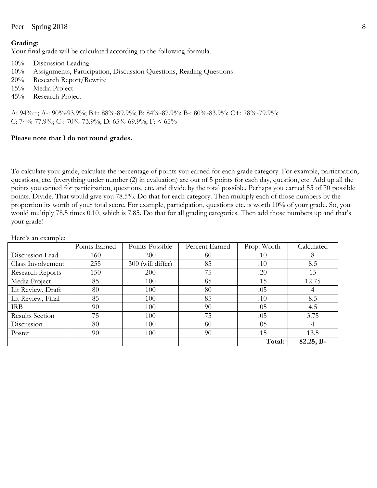### Peer – Spring 2018 8

#### **Grading:**

Your final grade will be calculated according to the following formula.

- 10% Discussion Leading
- 10% Assignments, Participation, Discussion Questions, Reading Questions
- 20% Research Report/Rewrite
- 15% Media Project
- 45% Research Project

A: 94%+; A-: 90%-93.9%; B+: 88%-89.9%; B: 84%-87.9%; B-: 80%-83.9%; C+: 78%-79.9%; C: 74%-77.9%; C-: 70%-73.9%; D: 65%-69.9%; F: < 65%

#### **Please note that I do not round grades.**

To calculate your grade, calculate the percentage of points you earned for each grade category. For example, participation, questions, etc. (everything under number (2) in evaluation) are out of 5 points for each day, question, etc. Add up all the points you earned for participation, questions, etc. and divide by the total possible. Perhaps you earned 55 of 70 possible points. Divide. That would give you 78.5%. Do that for each category. Then multiply each of those numbers by the proportion its worth of your total score. For example, participation, questions etc. is worth 10% of your grade. So, you would multiply 78.5 times 0.10, which is 7.85. Do that for all grading categories. Then add those numbers up and that's your grade!

|                         | Points Earned | Points Possible      | Percent Earned | Prop. Worth | Calculated |
|-------------------------|---------------|----------------------|----------------|-------------|------------|
| Discussion Lead.        | 160           | 200                  | 80             | .10         | 8          |
| Class Involvement       | 255           | (will differ)<br>300 | 85             | .10         | 8.5        |
| <b>Research Reports</b> | 150           | 200                  | 75             | .20         | 15         |
| Media Project           | 85            | 100                  | 85             | .15         | 12.75      |
| Lit Review, Draft       | 80            | 100                  | 80             | .05         |            |
| Lit Review, Final       | 85            | 100                  | 85             | .10         | 8.5        |
| <b>IRB</b>              | 90            | 100                  | 90             | .05         | 4.5        |
| <b>Results Section</b>  | 75            | 100                  | 75             | .05         | 3.75       |
| Discussion              | 80            | 100                  | 80             | .05         | 4          |
| Poster                  | 90            | 100                  | 90             | .15         | 13.5       |
|                         |               |                      |                | Total:      | 82.25, B-  |

Here's an example: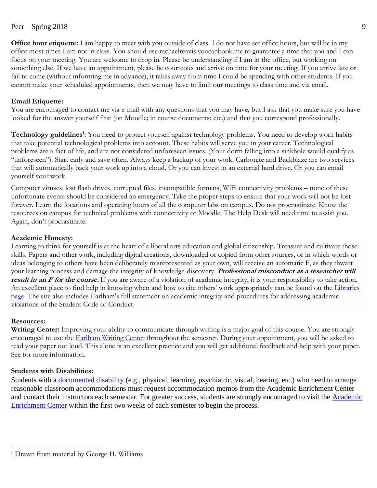**Office hour etiquette:** I am happy to meet with you outside of class. I do not have set office hours, but will be in my office most times I am not in class. You should use rachaelreavis.youcanbook.me to guarantee a time that you and I can focus on your meeting. You are welcome to drop in. Please be understanding if I am in the office, but working on something else. If we have an appointment, please be courteous and arrive on time for your meeting. If you arrive late or fail to come (without informing me in advance), it takes away from time I could be spending with other students. If you cannot make your scheduled appointments, then we may have to limit our meetings to class time and via email.

## **Email Etiquette:**

You are encouraged to contact me via e-mail with any questions that you may have, but I ask that you make sure you have looked for the answer yourself first (on Moodle; in course documents; etc.) and that you correspond professionally.

**Technology guidelines<sup>1</sup> :** You need to protect yourself against technology problems. You need to develop work habits that take potential technological problems into account. These habits will serve you in your career. Technological problems are a fact of life, and are not considered unforeseen issues. (Your dorm falling into a sinkhole would qualify as "unforeseen"). Start early and save often. Always keep a backup of your work. Carbonite and Backblaze are two services that will automatically back your work up into a cloud. Or you can invest in an external hard drive. Or you can email yourself your work.

Computer viruses, lost flash drives, corrupted files, incompatible formats, WiFi connectivity problems – none of these unfortunate events should be considered an emergency. Take the proper steps to ensure that your work will not be lost forever. Learn the locations and operating hours of all the computer labs on campus. Do not procrastinate. Know the resources on campus for technical problems with connectivity or Moodle. The Help Desk will need time to assist you. Again, don't procrastinate.

## **Academic Honesty:**

Learning to think for yourself is at the heart of a liberal arts education and global citizenship. Treasure and cultivate these skills. Papers and other work, including digital creations, downloaded or copied from other sources, or in which words or ideas belonging to others have been deliberately misrepresented as your own, will receive an automatic F, as they thwart your learning process and damage the integrity of knowledge-discovery. **Professional misconduct as a researcher will result in an F for the course.** If you are aware of a violation of academic integrity, it is your responsibility to take action. An excellent place to find help in knowing when and how to cite others' work appropriately can be found on the Libraries [page.](http://library.earlham.edu/friendly.php?s=academic_integrity) The site also includes Earlham's full statement on academic integrity and procedures for addressing academic violations of the Student Code of Conduct.

### **Resources:**

 $\overline{a}$ 

**Writing Center:** Improving your ability to communicate through writing is a major goal of this course. You are strongly encouraged to use the **Earlham Writing Center** throughout the semester. During your appointment, you will be asked to read your paper out loud. This alone is an excellent practice and you will get additional feedback and help with your paper. See for more information.

## **Students with Disabilities:**

Students with a [documented disability](https://earlham.edu/policies-and-handbooks/academic/policy-on-student-learning-disabilities/) (e.g., physical, learning, psychiatric, visual, hearing, etc.) who need to arrange reasonable classroom accommodations must request accommodation memos from the Academic Enrichment Center and contact their instructors each semester. For greater success, students are strongly encouraged to visit the **Academic** [Enrichment Center](http://earlham.edu/academic-enrichment-center/) within the first two weeks of each semester to begin the process.

<sup>&</sup>lt;sup>1</sup> Drawn from material by George H. Williams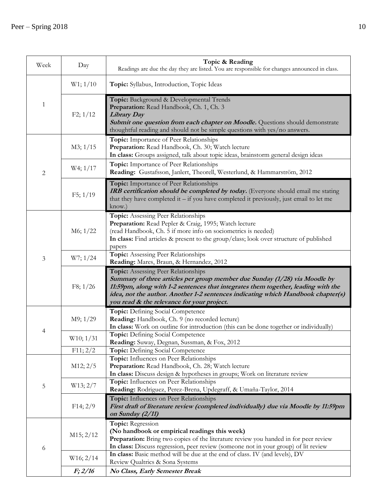| Week           | Day                    | Topic & Reading<br>Readings are due the day they are listed. You are responsible for changes announced in class.                                                                                                                                                                                                                         |
|----------------|------------------------|------------------------------------------------------------------------------------------------------------------------------------------------------------------------------------------------------------------------------------------------------------------------------------------------------------------------------------------|
| 1              | $W1$ ; $1/10$          | Topic: Syllabus, Introduction, Topic Ideas                                                                                                                                                                                                                                                                                               |
|                | F2; 1/12               | Topic: Background & Developmental Trends<br>Preparation: Read Handbook, Ch. 1, Ch. 3<br><b>Library Day</b><br><b>Submit one question from each chapter on Moodle.</b> Questions should demonstrate<br>thoughtful reading and should not be simple questions with yes/no answers.                                                         |
|                | M3; 1/15               | Topic: Importance of Peer Relationships<br>Preparation: Read Handbook, Ch. 30; Watch lecture<br>In class: Groups assigned, talk about topic ideas, brainstorm general design ideas                                                                                                                                                       |
| $\overline{c}$ | W4; 1/17               | Topic: Importance of Peer Relationships<br>Reading: Gustafsson, Janlert, Theorell, Westerlund, & Hammarström, 2012                                                                                                                                                                                                                       |
|                | F5; 1/19               | Topic: Importance of Peer Relationships<br>IRB certification should be completed by today. (Everyone should email me stating<br>that they have completed it $-$ if you have completed it previously, just email to let me<br>know.)                                                                                                      |
|                | M6; 1/22               | Topic: Assessing Peer Relationships<br>Preparation: Read Pepler & Craig, 1995; Watch lecture<br>(read Handbook, Ch. 5 if more info on sociometrics is needed)<br>In class: Find articles & present to the group/class; look over structure of published<br>papers                                                                        |
| 3              | W7; 1/24               | Topic: Assessing Peer Relationships<br>Reading: Mares, Braun, & Hernandez, 2012                                                                                                                                                                                                                                                          |
|                | F8; 1/26               | Topic: Assessing Peer Relationships<br>Summary of three articles per group member due Sunday (1/28) via Moodle by<br>11:59pm, along with 1-2 sentences that integrates them together, leading with the<br>idea, not the author. Another 1-2 sentences indicating which Handbook chapter(s)<br>you read & the relevance for your project. |
|                | M9; 1/29               | Topic: Defining Social Competence<br>Reading: Handbook, Ch. 9 (no recorded lecture)<br>In class: Work on outline for introduction (this can be done together or individually)                                                                                                                                                            |
|                | W10; 1/31              | Topic: Defining Social Competence<br>Reading: Suway, Degnan, Sussman, & Fox, 2012                                                                                                                                                                                                                                                        |
| 5              | F11; 2/2<br>M12; 2/5   | Topic: Defining Social Competence<br>Topic: Influences on Peer Relationships<br>Preparation: Read Handbook, Ch. 28; Watch lecture<br>In class: Discuss design & hypotheses in groups; Work on literature review                                                                                                                          |
|                | W13; 2/7               | Topic: Influences on Peer Relationships<br>Reading: Rodriguez, Perez-Brena, Updegraff, & Umaña-Taylor, 2014                                                                                                                                                                                                                              |
|                | F14; 2/9               | Topic: Influences on Peer Relationships<br>First draft of literature review (completed individually) due via Moodle by 11:59pm<br>on Sunday (2/11)                                                                                                                                                                                       |
| 6              | M <sub>15</sub> ; 2/12 | Topic: Regression<br>(No handbook or empirical readings this week)<br>Preparation: Bring two copies of the literature review you handed in for peer review<br>In class: Discuss regression, peer review (someone not in your group) of lit review                                                                                        |
|                | W16; 2/14              | In class: Basic method will be due at the end of class. IV (and levels), DV<br>Review Qualtrics & Sona Systems                                                                                                                                                                                                                           |
|                | F; 2/16                | No Class, Early Semester Break                                                                                                                                                                                                                                                                                                           |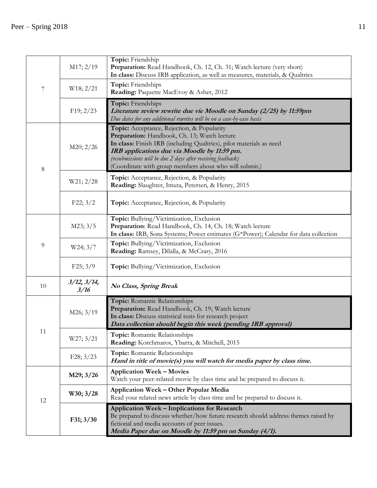| 7       | M17; 2/19           | Topic: Friendship<br>Preparation: Read Handbook, Ch. 12, Ch. 31; Watch lecture (very short)<br>In class: Discuss IRB application, as well as measures, materials, & Qualtrics                                                                                                                                                              |  |  |
|---------|---------------------|--------------------------------------------------------------------------------------------------------------------------------------------------------------------------------------------------------------------------------------------------------------------------------------------------------------------------------------------|--|--|
|         | W18; 2/21           | Topic: Friendships<br>Reading: Paquette MacEvoy & Asher, 2012                                                                                                                                                                                                                                                                              |  |  |
|         | F19; 2/23           | Topic: Friendships<br>Literature review rewrite due vie Moodle on Sunday (2/25) by 11:59pm<br>Due dates for any additional rewrites will be on a case-by-case basis                                                                                                                                                                        |  |  |
| $\,8\,$ | M20; 2/26           | Topic: Acceptance, Rejection, & Popularity<br>Preparation: Handbook, Ch. 13; Watch lecture<br>In class: Finish IRB (including Qualtrics), pilot materials as need<br>IRB applications due via Moodle by 11:59 pm.<br>(resubmissions will be due 2 days after receiving feedback)<br>(Coordinate with group members about who will submit.) |  |  |
|         | W21; 2/28           | Topic: Acceptance, Rejection, & Popularity<br>Reading: Slaughter, Imuta, Petersen, & Henry, 2015                                                                                                                                                                                                                                           |  |  |
|         | F22; 3/2            | Topic: Acceptance, Rejection, & Popularity                                                                                                                                                                                                                                                                                                 |  |  |
|         | M23; 3/5            | Topic: Bullying/Victimization, Exclusion<br>Preparation: Read Handbook, Ch. 14, Ch. 18; Watch lecture<br>In class: IRB, Sona Systems; Power estimates (G*Power); Calendar for data collection                                                                                                                                              |  |  |
| 9       | W24; 3/7            | Topic: Bullying/Victimization, Exclusion<br>Reading: Ramsey, Dilalla, & McCrary, 2016                                                                                                                                                                                                                                                      |  |  |
|         | F25; 3/9            | Topic: Bullying/Victimization, Exclusion                                                                                                                                                                                                                                                                                                   |  |  |
| 10      | 3/12, 3/14,<br>3/16 | No Class, Spring Break                                                                                                                                                                                                                                                                                                                     |  |  |
|         | M26; 3/19           | Topic: Romantic Relationships<br>Preparation: Read Handbook, Ch. 19; Watch lecture<br>In class: Discuss statistical tests for research project<br>Data collection should begin this week (pending IRB approval)                                                                                                                            |  |  |
| 11      | W27; 3/21           | Topic: Romantic Relationships<br>Reading: Korchmaros, Ybarra, & Mitchell, 2015                                                                                                                                                                                                                                                             |  |  |
|         | F28; 3/23           | Topic: Romantic Relationships<br>Hand in title of movie(s) you will watch for media paper by class time.                                                                                                                                                                                                                                   |  |  |
| 12      | M29; 3/26           | <b>Application Week - Movies</b><br>Watch your peer-related movie by class time and be prepared to discuss it.                                                                                                                                                                                                                             |  |  |
|         | W30; 3/28           | <b>Application Week - Other Popular Media</b><br>Read your related news article by class time and be prepared to discuss it.                                                                                                                                                                                                               |  |  |
|         | F31; 3/30           | <b>Application Week - Implications for Research</b><br>Be prepared to discuss whether/how future research should address themes raised by<br>fictional and media accounts of peer issues.<br>Media Paper due on Moodle by 11:59 pm on Sunday (4/1).                                                                                        |  |  |